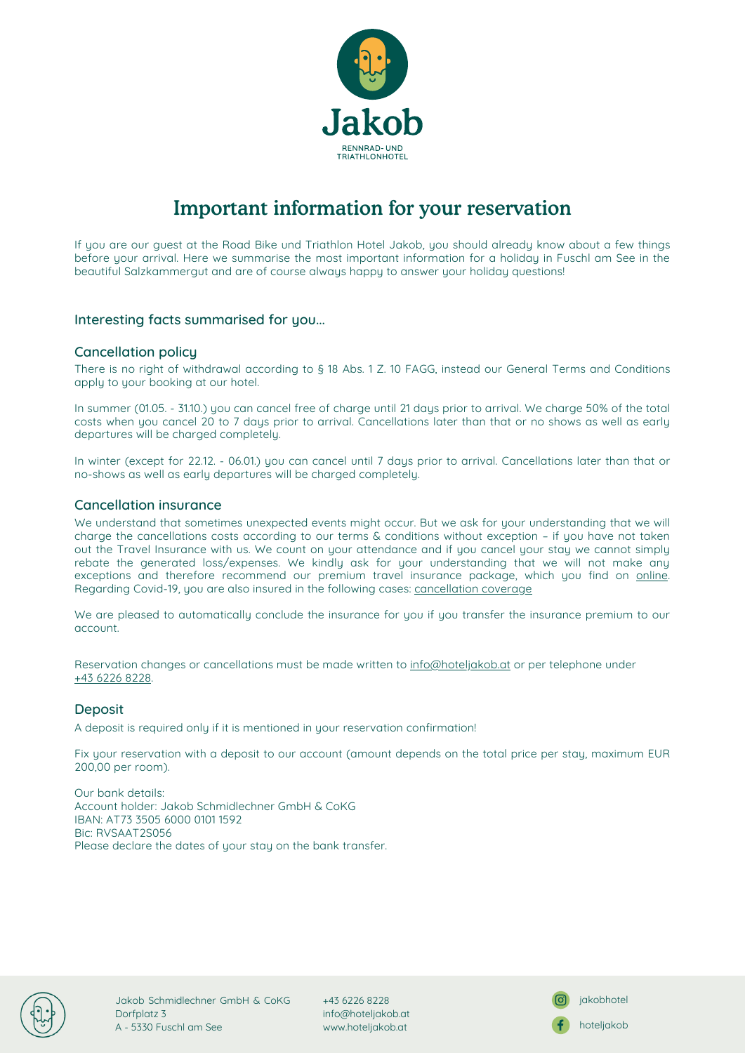

# Important information for your reservation

If you are our guest at the Road Bike und Triathlon Hotel Jakob, you should already know about a few things before your arrival. Here we summarise the most important information for a holiday in Fuschl am See in the beautiful Salzkammergut and are of course always happy to answer your holiday questions!

## Interesting facts summarised for you...

## Cancellation policy

There is no right of withdrawal according to § 18 Abs. 1 Z. 10 FAGG, instead our General Terms and Conditions apply to your booking at our hotel.

In summer (01.05. - 31.10.) you can cancel free of charge until 21 days prior to arrival. We charge 50% of the total costs when you cancel 20 to 7 days prior to arrival. Cancellations later than that or no shows as well as early departures will be charged completely.

In winter (except for 22.12. - 06.01.) you can cancel until 7 days prior to arrival. Cancellations later than that or no-shows as well as early departures will be charged completely.

#### Cancellation insurance

We understand that sometimes unexpected events might occur. But we ask for your understanding that we will charge the cancellations costs according to our terms & conditions without exception – if you have not taken out the Travel Insurance with us. We count on your attendance and if you cancel your stay we cannot simply rebate the generated loss/expenses. We kindly ask for your understanding that we will not make any exceptions and therefore recommend our premium travel insurance package, which you find on [online](https://www.europaeische.at/pip/en/hospr). Regarding Covid-19, you are also insured in the following cases: [cancellation](https://www.europaeische.at/en/service/travelmagazine/article/urlaub-in-oesterreich-versicherungsdeckung-zu-covid-19) coverage

We are pleased to automatically conclude the insurance for you if you transfer the insurance premium to our account.

Reservation changes or cancellations must be made written to [info@hoteljakob.at](mailto:info@hoteljakob.at) or per telephone under +43 6226 [8228.](tel:+4362268228)

#### **Deposit**

A deposit is required only if it is mentioned in your reservation confirmation!

Fix your reservation with a deposit to our account (amount depends on the total price per stay, maximum EUR 200,00 per room).

Our bank details: Account holder: Jakob Schmidlechner GmbH & CoKG IBAN: AT73 3505 6000 0101 1592 Bic: RVSAAT2S056 Please declare the dates of your stay on the bank transfer.



Jakob Schmidlechner GmbH & CoKG Dorfplatz 3 A - 5330 Fuschl am See

+43 6226 8228 info@hoteljakob.at [www.hoteljakob.at](http://www.hoteljakob.at/)